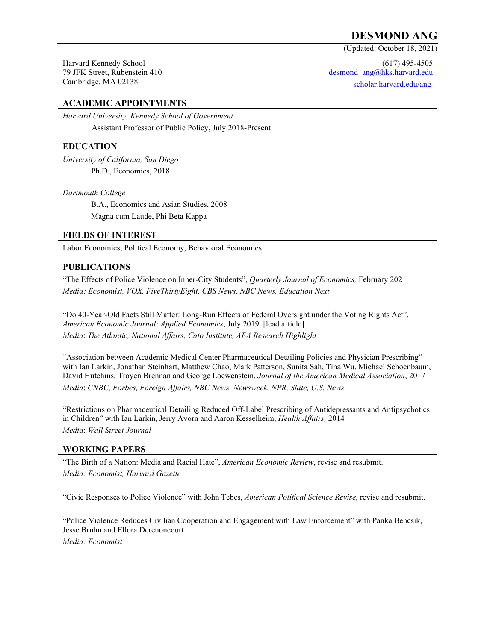# **DESMOND ANG**

(Updated: October 18, 2021)

Harvard Kennedy School 79 JFK Street, Rubenstein 410 Cambridge, MA 02138

(617) 495-4505 [desmond\\_ang@hks.harvard.edu](mailto:desmond_ang@hks.harvard.edu) scholar.harvard.edu/ang

# **ACADEMIC APPOINTMENTS**

*Harvard University, Kennedy School of Government* Assistant Professor of Public Policy, July 2018-Present

#### **EDUCATION**

*University of California, San Diego* Ph.D., Economics, 2018

*Dartmouth College*

 B.A., Economics and Asian Studies, 2008 Magna cum Laude, Phi Beta Kappa

#### **FIELDS OF INTEREST**

Labor Economics, Political Economy, Behavioral Economics

### **PUBLICATIONS**

"The Effects of Police Violence on Inner-City Students", *Quarterly Journal of Economics,* February 2021. *Media: Economist, VOX, FiveThirtyEight, CBS News, NBC News, Education Next*

"Do 40-Year-Old Facts Still Matter: Long-Run Effects of Federal Oversight under the Voting Rights Act", *American Economic Journal: Applied Economics*, July 2019. [lead article] *Media*: *The Atlantic, National Affairs, Cato Institute, AEA Research Highlight*

"Association between Academic Medical Center Pharmaceutical Detailing Policies and Physician Prescribing" with Ian Larkin, Jonathan Steinhart, Matthew Chao, Mark Patterson, Sunita Sah, Tina Wu, Michael Schoenbaum, David Hutchins, Troyen Brennan and George Loewenstein, *Journal of the American Medical Association*, 2017 *Media*: *CNBC, Forbes, Foreign Affairs, NBC News, Newsweek, NPR, Slate, U.S. News*

"Restrictions on Pharmaceutical Detailing Reduced Off-Label Prescribing of Antidepressants and Antipsychotics in Children" with Ian Larkin, Jerry Avorn and Aaron Kesselheim, *Health Affairs,* 2014 *Media*: *Wall Street Journal*

### **WORKING PAPERS**

"The Birth of a Nation: Media and Racial Hate", *American Economic Review*, revise and resubmit. *Media: Economist, Harvard Gazette*

"Civic Responses to Police Violence" with John Tebes, *American Political Science Revise*, revise and resubmit.

"Police Violence Reduces Civilian Cooperation and Engagement with Law Enforcement" with Panka Bencsik, Jesse Bruhn and Ellora Derenoncourt *Media: Economist*